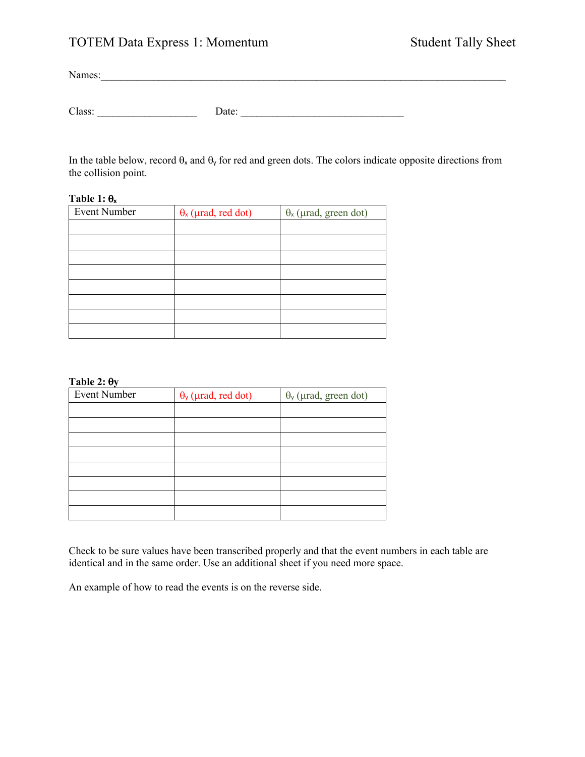# TOTEM Data Express 1: Momentum Student Tally Sheet

Names:

| $\sim$<br>. .<br>. на | ---- |  |
|-----------------------|------|--|
|                       |      |  |

In the table below, record  $\theta_x$  and  $\theta_y$  for red and green dots. The colors indicate opposite directions from the collision point.

## **Table 1:**  $\theta_x$

| <b>Event Number</b> | $\theta_{x}$ (µrad, red dot) | $\theta$ <sub>x</sub> (µrad, green dot) |
|---------------------|------------------------------|-----------------------------------------|
|                     |                              |                                         |
|                     |                              |                                         |
|                     |                              |                                         |
|                     |                              |                                         |
|                     |                              |                                         |
|                     |                              |                                         |
|                     |                              |                                         |
|                     |                              |                                         |

### Table 2:  $\theta$ **y**

| <b>Event Number</b> | $\theta_{\rm y}$ (µrad, red dot) | $\theta$ <sub>y</sub> (µrad, green dot) |
|---------------------|----------------------------------|-----------------------------------------|
|                     |                                  |                                         |
|                     |                                  |                                         |
|                     |                                  |                                         |
|                     |                                  |                                         |
|                     |                                  |                                         |
|                     |                                  |                                         |
|                     |                                  |                                         |
|                     |                                  |                                         |

Check to be sure values have been transcribed properly and that the event numbers in each table are identical and in the same order. Use an additional sheet if you need more space.

An example of how to read the events is on the reverse side.